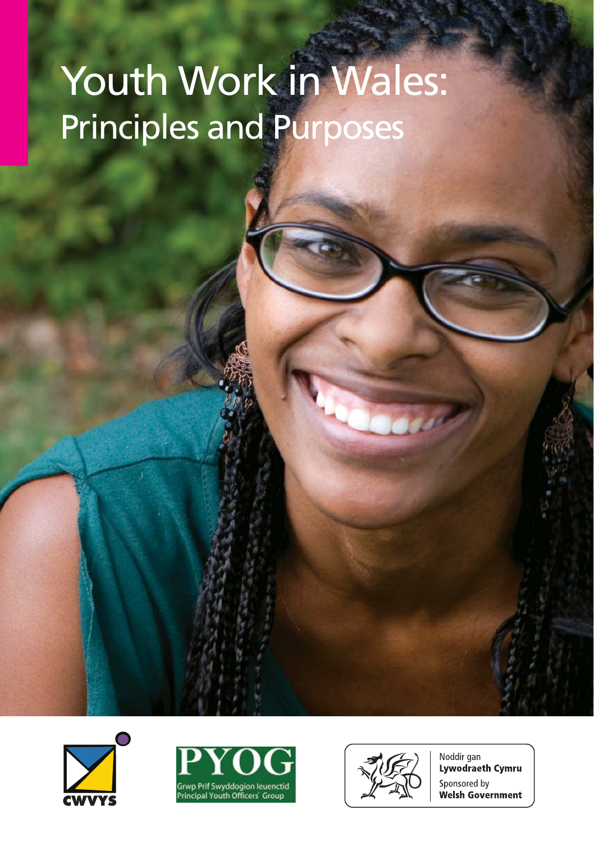# Youth Work in Wales: Principles and Purposes







Noddir gan Lywodraeth Cymru Sponsored by **Welsh Government**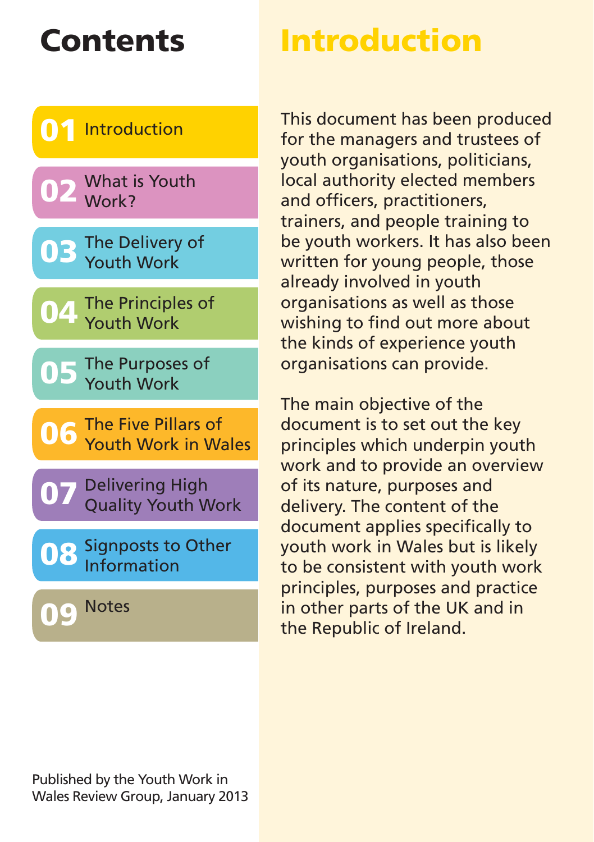# **Contents Introduction**

and officers, practitioners,

trainers, and people training to be youth workers. It has also been

This document has been produced for the managers and trustees of youth organisations, politicians, local authority elected members



written for young people, those already involved in youth organisations as well as those wishing to find out more about the kinds of experience youth organisations can provide. The main objective of the

document is to set out the key principles which underpin youth work and to provide an overview of its nature, purposes and delivery. The content of the document applies specifically to youth work in Wales but is likely to be consistent with youth work principles, purposes and practice in other parts of the UK and in the Republic of Ireland.

**09**

**Notes**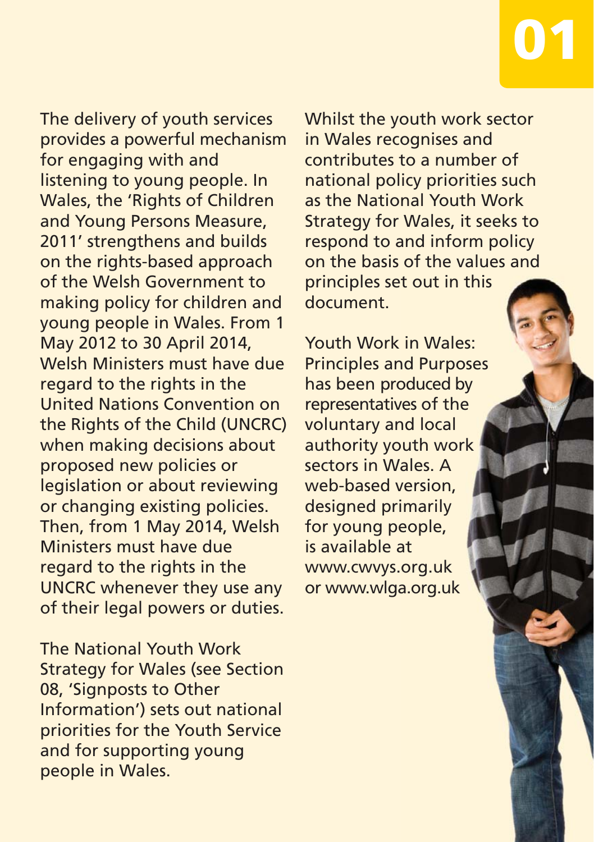The delivery of youth services provides a powerful mechanism for engaging with and listening to young people. In Wales, the 'Rights of Children and Young Persons Measure, 2011' strengthens and builds on the rights-based approach of the Welsh Government to making policy for children and young people in Wales. From 1 May 2012 to 30 April 2014, Welsh Ministers must have due regard to the rights in the United Nations Convention on the Rights of the Child (UNCRC) when making decisions about proposed new policies or legislation or about reviewing or changing existing policies. Then, from 1 May 2014, Welsh Ministers must have due regard to the rights in the UNCRC whenever they use any of their legal powers or duties.

The National Youth Work Strategy for Wales (see Section 08, 'Signposts to Other Information') sets out national priorities for the Youth Service and for supporting young people in Wales.

Whilst the youth work sector in Wales recognises and contributes to a number of national policy priorities such as the National Youth Work Strategy for Wales, it seeks to respond to and inform policy on the basis of the values and principles set out in this document.

**01**

Youth Work in Wales: Principles and Purposes has been produced by representatives of the voluntary and local authority youth work sectors in Wales. A web-based version, designed primarily for young people, is available at www.cwvys.org.uk or www.wlga.org.uk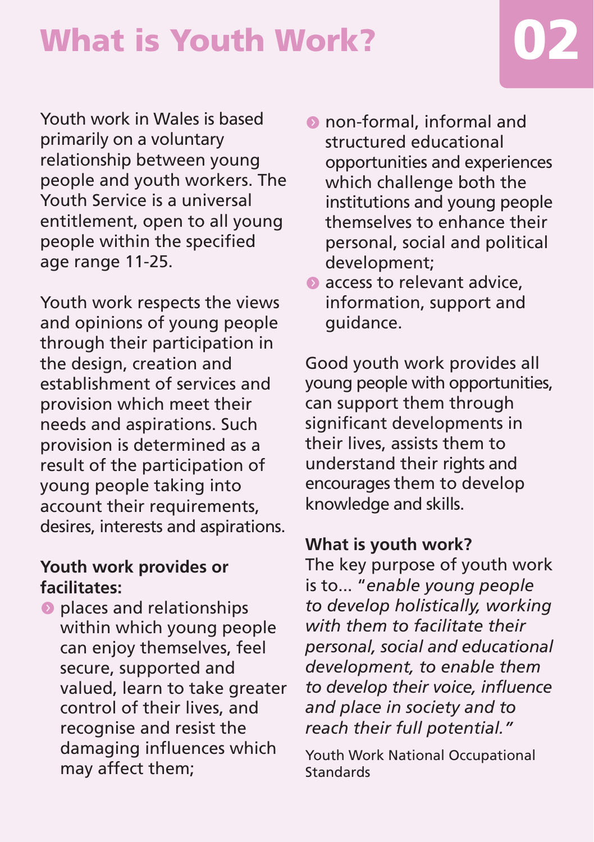Youth work in Wales is based primarily on a voluntary relationship between young people and youth workers. The Youth Service is a universal entitlement, open to all young people within the specified age range 11-25.

Youth work respects the views and opinions of young people through their participation in the design, creation and establishment of services and provision which meet their needs and aspirations. Such provision is determined as a result of the participation of young people taking into account their requirements, desires, interests and aspirations.

#### **Youth work provides or facilitates:**

 $\bullet$  places and relationships within which young people can enjoy themselves, feel secure, supported and valued, learn to take greater control of their lives, and recognise and resist the damaging influences which may affect them;

- **O** non-formal, informal and structured educational opportunities and experiences which challenge both the institutions and young people themselves to enhance their personal, social and political development;
- $\bullet$  access to relevant advice. information, support and guidance.

Good youth work provides all young people with opportunities, can support them through significant developments in their lives, assists them to understand their rights and encourages them to develop knowledge and skills.

#### **What is youth work?**

The key purpose of youth work is to... "*enable young people to develop holistically, working with them to facilitate their personal, social and educational development, to enable them to develop their voice, influence and place in society and to reach their full potential."*

Youth Work National Occupational Standards

# **What is Youth Work? 02**

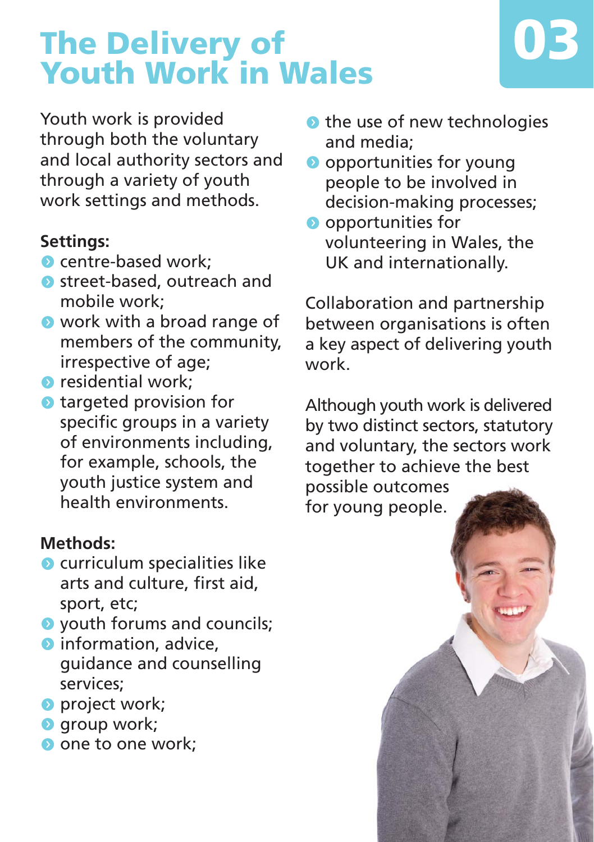# **The Delivery of Youth Work in Wales**



Youth work is provided through both the voluntary and local authority sectors and through a variety of youth work settings and methods.

#### **Settings:**

- $\bullet$  centre-based work:
- **O** street-based, outreach and mobile work;
- $\bullet$  work with a broad range of members of the community, irrespective of age;
- $\bullet$  residential work:
- $\bullet$  targeted provision for specific groups in a variety of environments including, for example, schools, the youth justice system and health environments.

#### **Methods:**

- $\bullet$  curriculum specialities like arts and culture, first aid, sport, etc;
- **O** youth forums and councils;
- $\bullet$  information, advice. guidance and counselling services;
- **O** project work;
- **o** group work;
- one to one work:
- $\bullet$  the use of new technologies and media;
- **O** opportunities for young people to be involved in decision-making processes;
- **O** opportunities for volunteering in Wales, the UK and internationally.

Collaboration and partnership between organisations is often a key aspect of delivering youth work.

Although youth work is delivered by two distinct sectors, statutory and voluntary, the sectors work together to achieve the best possible outcomes for young people.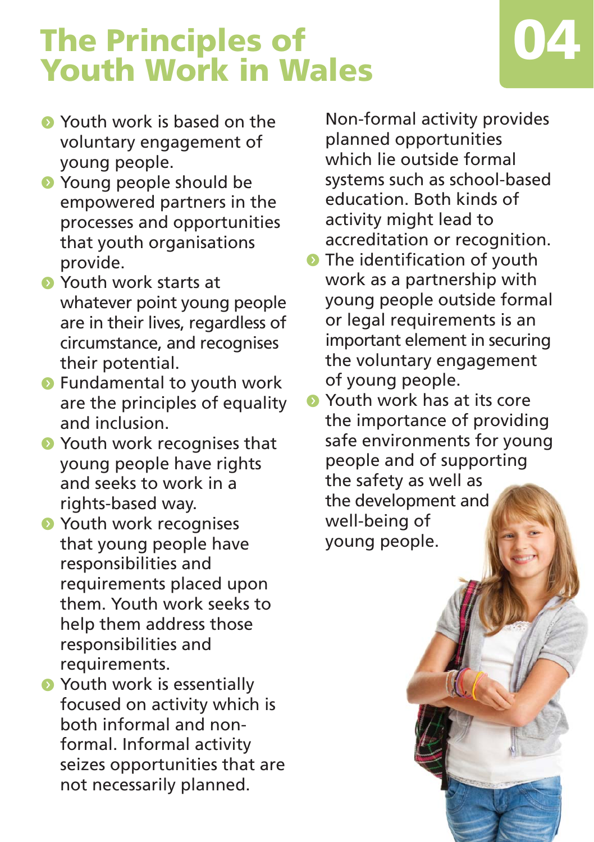# **The Principles of Youth Work in Wales 04**



- **•** Youth work is based on the voluntary engagement of young people.
- **•** Young people should be empowered partners in the processes and opportunities that youth organisations provide.
- **•** Youth work starts at whatever point young people are in their lives, regardless of circumstance, and recognises their potential.
- **•** Fundamental to youth work are the principles of equality and inclusion.
- **•** Youth work recognises that young people have rights and seeks to work in a rights-based way.
- **•** Youth work recognises that young people have responsibilities and requirements placed upon them. Youth work seeks to help them address those responsibilities and requirements.
- **•** Youth work is essentially focused on activity which is both informal and nonformal. Informal activity seizes opportunities that are not necessarily planned.

Non-formal activity provides planned opportunities which lie outside formal systems such as school-based education. Both kinds of activity might lead to accreditation or recognition.

 $\bullet$  The identification of youth work as a partnership with young people outside formal or legal requirements is an important element in securing the voluntary engagement of young people.

**S** Youth work has at its core the importance of providing safe environments for young people and of supporting the safety as well as the development and well-being of young people.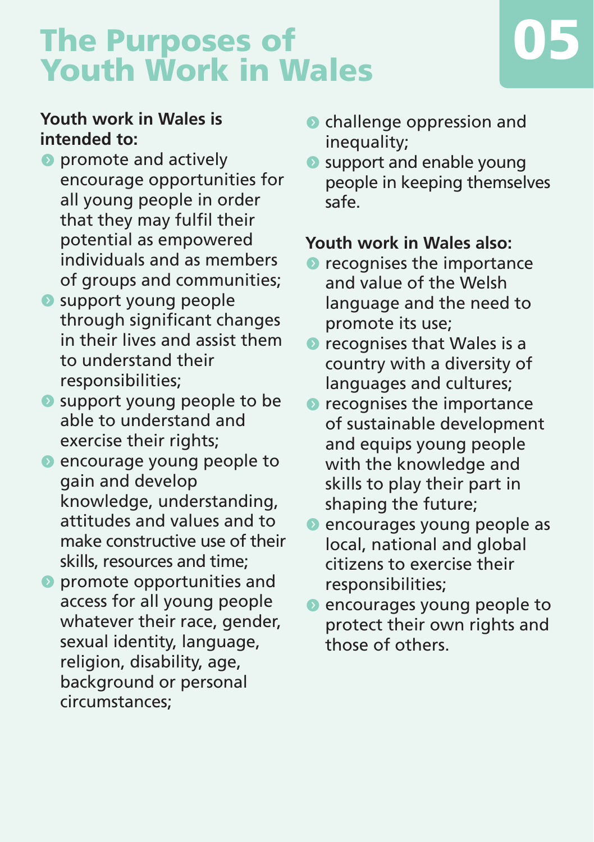## **The Purposes of Youth Work in Wales 05**



#### **Youth work in Wales is intended to:**

- $\bullet$  promote and actively encourage opportunities for all young people in order that they may fulfil their potential as empowered individuals and as members of groups and communities;
- **Support young people** through significant changes in their lives and assist them to understand their responsibilities;
- **O** support young people to be able to understand and exercise their rights;
- **O** encourage young people to gain and develop knowledge, understanding, attitudes and values and to make constructive use of their skills, resources and time;
- $\bullet$  promote opportunities and access for all young people whatever their race, gender, sexual identity, language, religion, disability, age, background or personal circumstances;
- **•** challenge oppression and inequality;
- **•** support and enable young people in keeping themselves safe.

#### **Youth work in Wales also:**

- $\bullet$  recognises the importance and value of the Welsh language and the need to promote its use;
- $\bullet$  recognises that Wales is a country with a diversity of languages and cultures;
- $\bullet$  recognises the importance of sustainable development and equips young people with the knowledge and skills to play their part in shaping the future;
- **O** encourages young people as local, national and global citizens to exercise their responsibilities;
- **O** encourages young people to protect their own rights and those of others.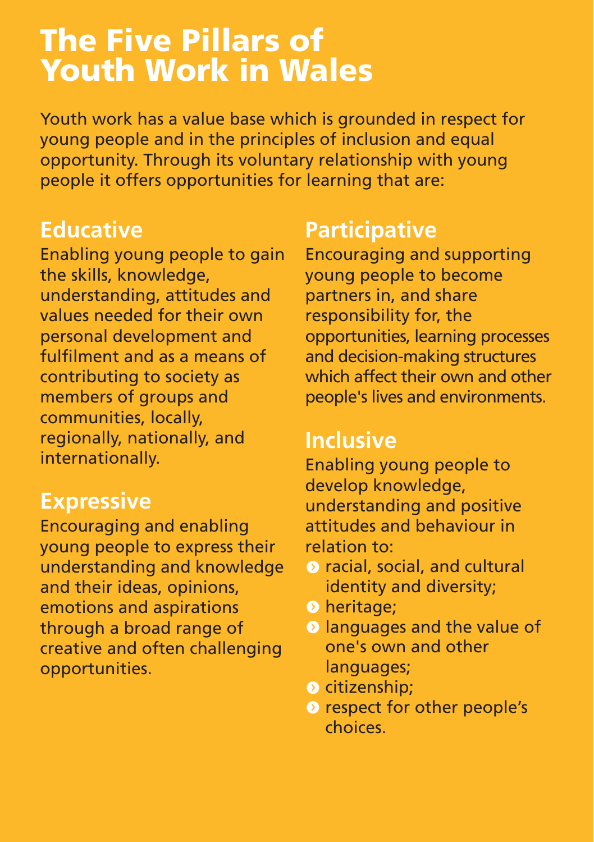### **The Five Pillars of Youth Work in Wales**

Youth work has a value base which is grounded in respect for young people and in the principles of inclusion and equal opportunity. Through its voluntary relationship with young people it offers opportunities for learning that are:

#### **Educative**

Enabling young people to gain the skills, knowledge, understanding, attitudes and values needed for their own personal development and fulfilment and as a means of contributing to society as members of groups and communities, locally, regionally, nationally, and internationally.

#### **Expressive**

Encouraging and enabling young people to express their understanding and knowledge and their ideas, opinions, emotions and aspirations through a broad range of creative and often challenging opportunities.

#### **Participative**

Encouraging and supporting young people to become partners in, and share responsibility for, the opportunities, learning processes and decision-making structures which affect their own and other people's lives and environments.

#### **Inclusive**

Enabling young people to develop knowledge, understanding and positive attitudes and behaviour in relation to:

- racial, social, and cultural identity and diversity;
- **O** heritage;
- $\odot$  languages and the value of one's own and other languages;
- $\bullet$  citizenship;
- **O** respect for other people's choices.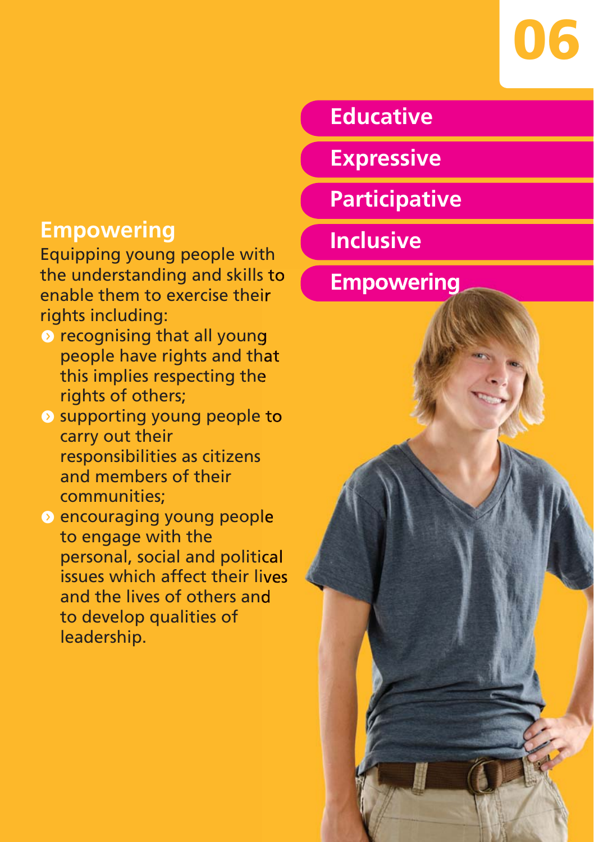

### **Educative**

**Expressive**

**Participative**

**Inclusive**

**Empowering**



#### **Empowering**

Equipping young people with the understanding and skills to enable them to exercise their rights including:

- **O** recognising that all young people have rights and that this implies respecting the rights of others;
- **O** supporting young people to carry out their responsibilities as citizens and members of their communities;
- <sup>o</sup> encouraging young people to engage with the personal, social and political issues which affect their lives and the lives of others and to develop qualities of leadership.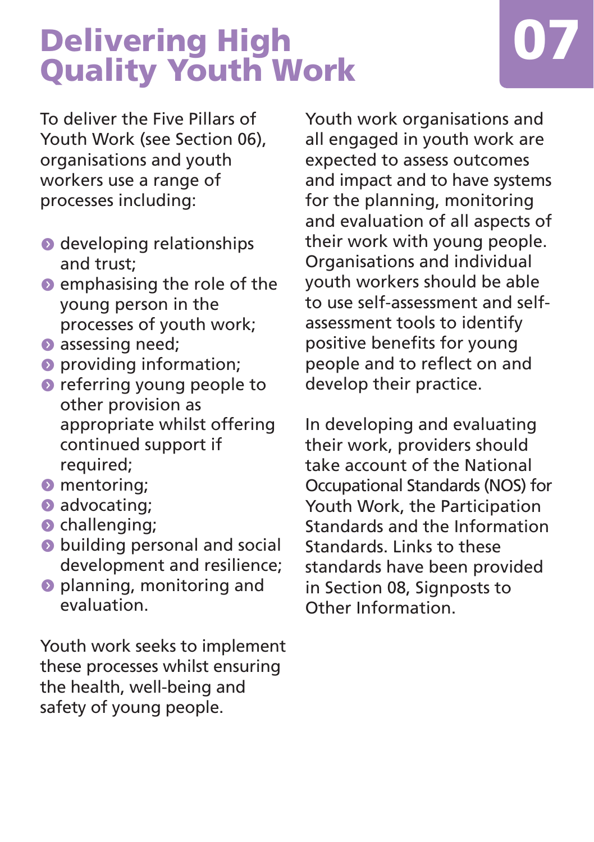# **Delivering High Quality Youth Work**



To deliver the Five Pillars of Youth Work (see Section 06), organisations and youth workers use a range of processes including:

- $\bullet$  developing relationships and trust;
- $\bullet$  emphasising the role of the young person in the processes of youth work;
- $\bullet$  assessing need;
- **O** providing information;
- **O** referring young people to other provision as appropriate whilst offering continued support if required;
- $\bullet$  mentoring;
- $\bullet$  advocating;
- $\bullet$  challenging;
- $\bullet$  building personal and social development and resilience;
- **O** planning, monitoring and evaluation.

Youth work seeks to implement these processes whilst ensuring the health, well-being and safety of young people.

Youth work organisations and all engaged in youth work are expected to assess outcomes and impact and to have systems for the planning, monitoring and evaluation of all aspects of their work with young people. Organisations and individual youth workers should be able to use self-assessment and selfassessment tools to identify positive benefits for young people and to reflect on and develop their practice.

In developing and evaluating their work, providers should take account of the National Occupational Standards (NOS) for Youth Work, the Participation Standards and the Information Standards. Links to these standards have been provided in Section 08, Signposts to Other Information.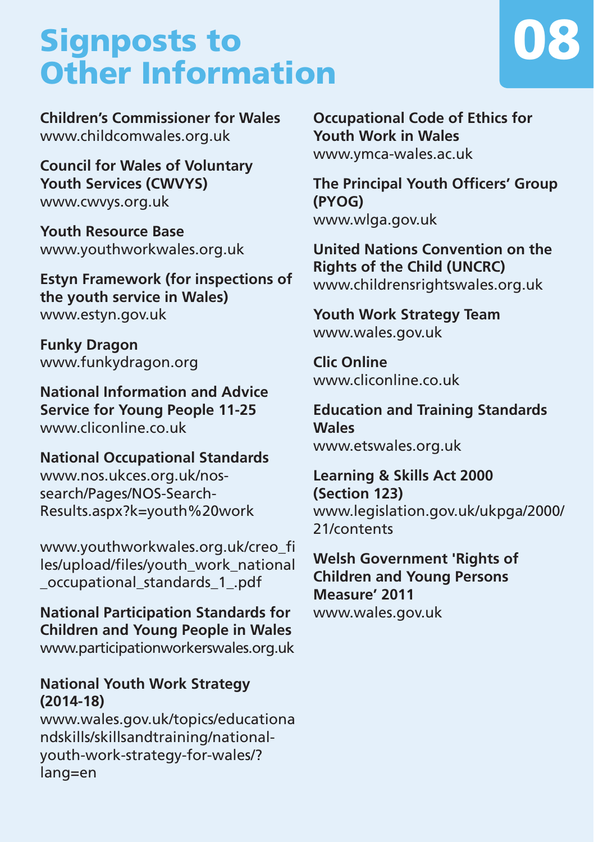## **Signposts to Other Information**



**Children's Commissioner for Wales** www.childcomwales.org.uk

**Council for Wales of Voluntary Youth Services (CWVYS)** www.cwvys.org.uk

**Youth Resource Base** www.youthworkwales.org.uk

**Estyn Framework (for inspections of the youth service in Wales)** www.estyn.gov.uk

**Funky Dragon** www.funkydragon.org

**National Information and Advice Service for Young People 11-25** www.cliconline.co.uk

**National Occupational Standards** www.nos.ukces.org.uk/nossearch/Pages/NOS-Search-Results.aspx?k=youth%20work

www.youthworkwales.org.uk/creo\_fi les/upload/files/youth\_work\_national \_occupational\_standards\_1\_.pdf

**National Participation Standards for Children and Young People in Wales** www.participationworkerswales.org.uk

#### **National Youth Work Strategy (2014-18)**

www.wales.gov.uk/topics/educationa ndskills/skillsandtraining/nationalyouth-work-strategy-for-wales/? lang=en

**Occupational Code of Ethics for Youth Work in Wales** www.ymca-wales.ac.uk

**The Principal Youth Officers' Group (PYOG)** www.wlga.gov.uk

**United Nations Convention on the Rights of the Child (UNCRC)** www.childrensrightswales.org.uk

**Youth Work Strategy Team** www.wales.gov.uk

**Clic Online** www.cliconline.co.uk

**Education and Training Standards Wales** www.etswales.org.uk

**Learning & Skills Act 2000 (Section 123)** www.legislation.gov.uk/ukpga/2000/ 21/contents

**Welsh Government 'Rights of Children and Young Persons Measure' 2011** www.wales.gov.uk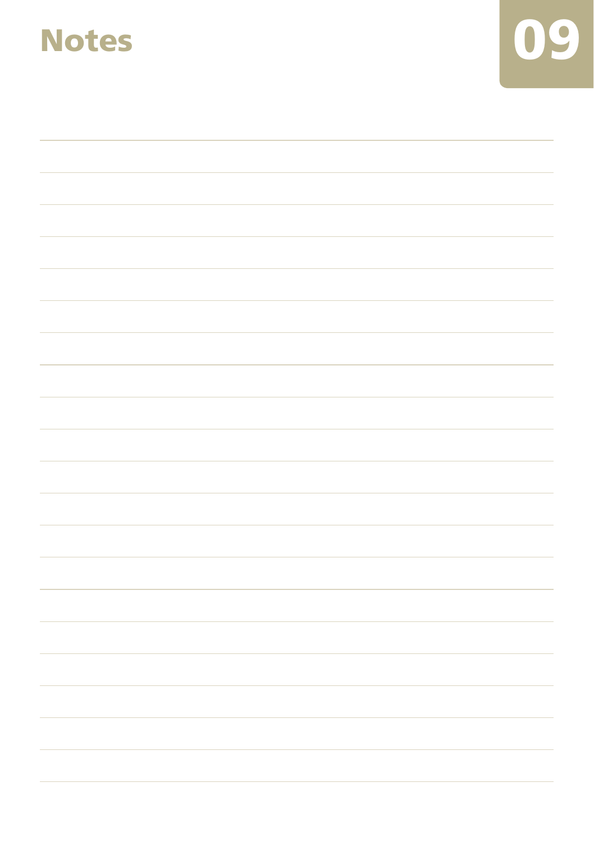

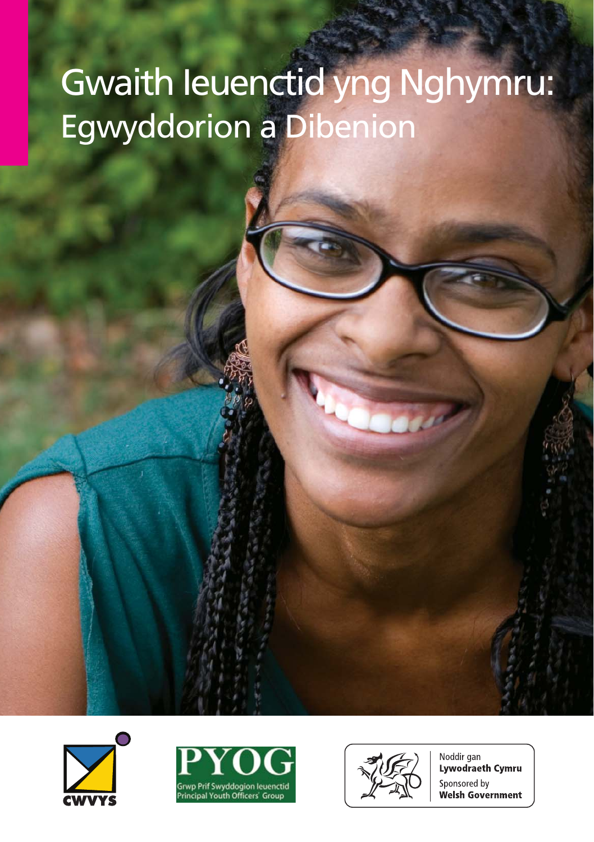# Gwaith Ieuenctid yng Nghymru: Egwyddorion a Dibenion







Noddir gan Lywodraeth Cymru Sponsored by **Welsh Government**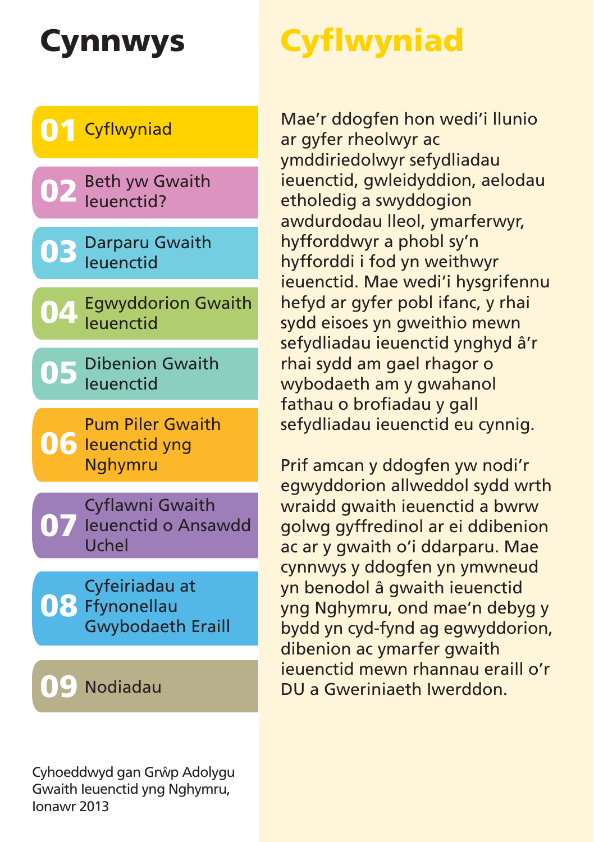# **Cynnwys Cyflwyniad**



Cyhoeddwyd gan Grŵp Adolygu Gwaith Ieuenctid yng Nghymru, Ionawr 2013

Mae'r ddogfen hon wedi'i llunio ar gyfer rheolwyr ac ymddiriedolwyr sefydliadau ieuenctid, gwleidyddion, aelodau etholedig a swyddogion awdurdodau lleol, ymarferwyr, hyfforddwyr a phobl sy'n hyfforddi i fod yn weithwyr ieuenctid. Mae wedi'i hysgrifennu hefyd ar gyfer pobl ifanc, y rhai sydd eisoes yn gweithio mewn sefydliadau ieuenctid ynghyd â'r rhai sydd am gael rhagor o wybodaeth am y gwahanol fathau o brofiadau y gall sefydliadau ieuenctid eu cynnig.

Prif amcan y ddogfen yw nodi'r egwyddorion allweddol sydd wrth wraidd gwaith ieuenctid a bwrw golwg gyffredinol ar ei ddibenion ac ar y gwaith o'i ddarparu. Mae cynnwys y ddogfen yn ymwneud yn benodol â gwaith ieuenctid yng Nghymru, ond mae'n debyg y bydd yn cyd-fynd ag egwyddorion, dibenion ac ymarfer gwaith ieuenctid mewn rhannau eraill o'r DU a Gweriniaeth Iwerddon.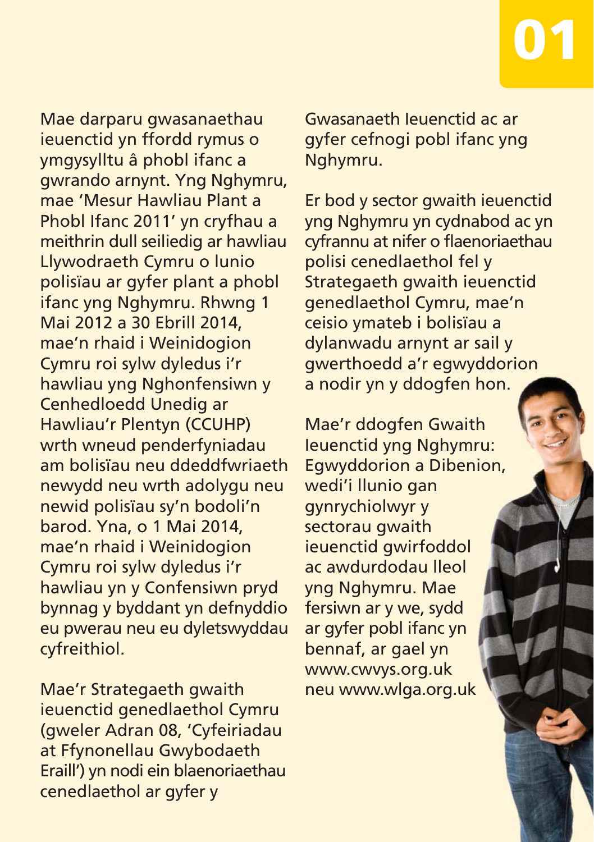Mae darparu gwasanaethau ieuenctid yn ffordd rymus o ymgysylltu â phobl ifanc a gwrando arnynt. Yng Nghymru, mae 'Mesur Hawliau Plant a Phobl Ifanc 2011' yn cryfhau a meithrin dull seiliedig ar hawliau Llywodraeth Cymru o lunio polisïau ar gyfer plant a phobl ifanc yng Nghymru. Rhwng 1 Mai 2012 a 30 Ebrill 2014, mae'n rhaid i Weinidogion Cymru roi sylw dyledus i'r hawliau yng Nghonfensiwn y Cenhedloedd Unedig ar Hawliau'r Plentyn (CCUHP) wrth wneud penderfyniadau am bolisïau neu ddeddfwriaeth newydd neu wrth adolygu neu newid polisïau sy'n bodoli'n barod. Yna, o 1 Mai 2014, mae'n rhaid i Weinidogion Cymru roi sylw dyledus i'r hawliau yn y Confensiwn pryd bynnag y byddant yn defnyddio eu pwerau neu eu dyletswyddau cyfreithiol.

Mae'r Strategaeth gwaith ieuenctid genedlaethol Cymru (gweler Adran 08, 'Cyfeiriadau at Ffynonellau Gwybodaeth Eraill') yn nodi ein blaenoriaethau cenedlaethol ar gyfer y

Gwasanaeth Ieuenctid ac ar gyfer cefnogi pobl ifanc yng Nghymru.

**01**

Er bod y sector gwaith ieuenctid yng Nghymru yn cydnabod ac yn cyfrannu at nifer o flaenoriaethau polisi cenedlaethol fel y Strategaeth gwaith ieuenctid genedlaethol Cymru, mae'n ceisio ymateb i bolisïau a dylanwadu arnynt ar sail y gwerthoedd a'r egwyddorion a nodir yn y ddogfen hon.

Mae'r ddogfen Gwaith Ieuenctid yng Nghymru: Egwyddorion a Dibenion, wedi'i llunio gan gynrychiolwyr y sectorau gwaith ieuenctid gwirfoddol ac awdurdodau lleol yng Nghymru. Mae fersiwn ar y we, sydd ar gyfer pobl ifanc yn bennaf, ar gael yn www.cwvys.org.uk neu www.wlga.org.uk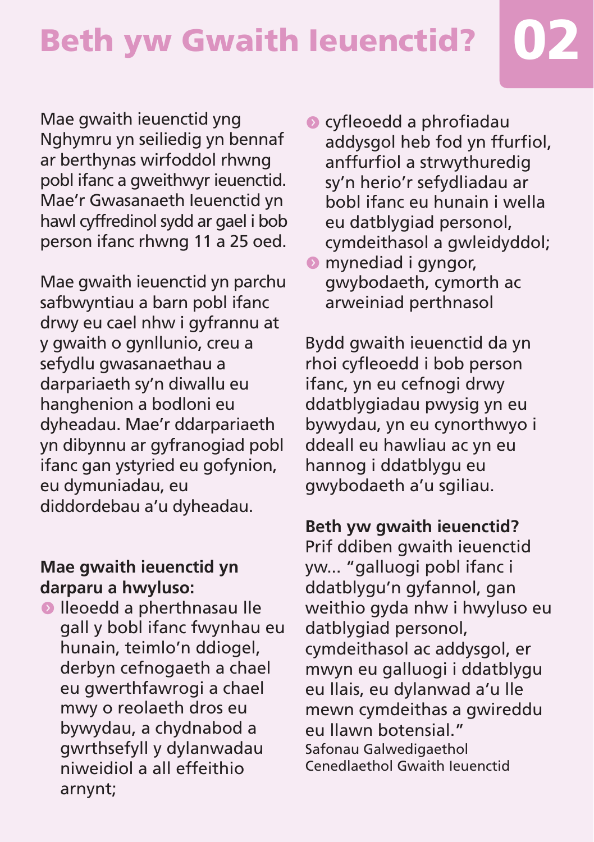# **Beth yw Gwaith Ieuenctid? 02**

Mae gwaith ieuenctid yng Nghymru yn seiliedig yn bennaf ar berthynas wirfoddol rhwng pobl ifanc a gweithwyr ieuenctid. Mae'r Gwasanaeth Ieuenctid yn hawl cyffredinol sydd ar gael i bob person ifanc rhwng 11 a 25 oed.

Mae gwaith ieuenctid yn parchu safbwyntiau a barn pobl ifanc drwy eu cael nhw i gyfrannu at y gwaith o gynllunio, creu a sefydlu gwasanaethau a darpariaeth sy'n diwallu eu hanghenion a bodloni eu dyheadau. Mae'r ddarpariaeth yn dibynnu ar gyfranogiad pobl ifanc gan ystyried eu gofynion, eu dymuniadau, eu diddordebau a'u dyheadau.

#### **Mae gwaith ieuenctid yn darparu a hwyluso:**

 $\bullet$  lleoedd a pherthnasau lle gall y bobl ifanc fwynhau eu hunain, teimlo'n ddiogel, derbyn cefnogaeth a chael eu gwerthfawrogi a chael mwy o reolaeth dros eu bywydau, a chydnabod a gwrthsefyll y dylanwadau niweidiol a all effeithio arnynt;

- $\bullet$  cyfleoedd a phrofiadau addysgol heb fod yn ffurfiol, anffurfiol a strwythuredig sy'n herio'r sefydliadau ar bobl ifanc eu hunain i wella eu datblygiad personol, cymdeithasol a gwleidyddol;
- **O** mynediad i gyngor, gwybodaeth, cymorth ac arweiniad perthnasol

Bydd gwaith ieuenctid da yn rhoi cyfleoedd i bob person ifanc, yn eu cefnogi drwy ddatblygiadau pwysig yn eu bywydau, yn eu cynorthwyo i ddeall eu hawliau ac yn eu hannog i ddatblygu eu gwybodaeth a'u sgiliau.

#### **Beth yw gwaith ieuenctid?**

Prif ddiben gwaith ieuenctid yw... "galluogi pobl ifanc i ddatblygu'n gyfannol, gan weithio gyda nhw i hwyluso eu datblygiad personol, cymdeithasol ac addysgol, er mwyn eu galluogi i ddatblygu eu llais, eu dylanwad a'u lle mewn cymdeithas a gwireddu eu llawn botensial." Safonau Galwedigaethol Cenedlaethol Gwaith Ieuenctid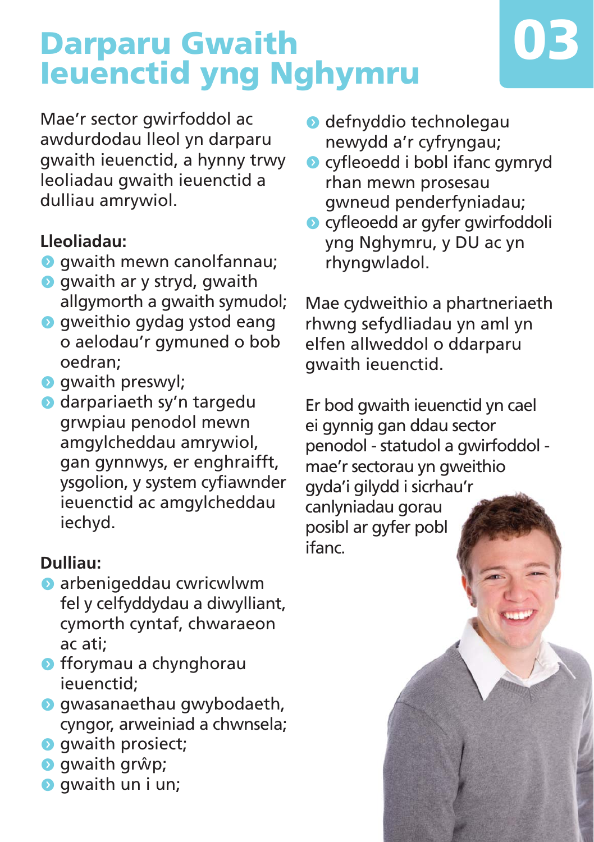# **Darparu Gwaith Ieuenctid yng Nghymru**

Mae'r sector gwirfoddol ac awdurdodau lleol yn darparu gwaith ieuenctid, a hynny trwy leoliadau gwaith ieuenctid a dulliau amrywiol.

#### **Lleoliadau:**

- **O** gwaith mewn canolfannau;
- $\bullet$  gwaith ar y stryd, gwaith allgymorth a gwaith symudol;
- **O** gweithio gydag ystod eang o aelodau'r gymuned o bob oedran;
- **o** gwaith preswyl;
- **O** darpariaeth sy'n targedu grwpiau penodol mewn amgylcheddau amrywiol, gan gynnwys, er enghraifft, ysgolion, y system cyfiawnder ieuenctid ac amgylcheddau iechyd.

#### **Dulliau:**

- $\bullet$  arbenigeddau cwricwlwm fel y celfyddydau a diwylliant, cymorth cyntaf, chwaraeon ac ati;
- $\bullet$  fforymau a chynghorau ieuenctid;
- **O** gwasanaethau gwybodaeth, cyngor, arweiniad a chwnsela;
- **o** gwaith prosiect;
- **o** qwaith grŵp;
- **o** gwaith un i un;
- $\bullet$  defnyddio technolegau newydd a'r cyfryngau;
- **o** cyfleoedd i bobl ifanc gymryd rhan mewn prosesau gwneud penderfyniadau;

**03**

**•** cyfleoedd ar gyfer gwirfoddoli yng Nghymru, y DU ac yn rhyngwladol.

Mae cydweithio a phartneriaeth rhwng sefydliadau yn aml yn elfen allweddol o ddarparu gwaith ieuenctid.

Er bod gwaith ieuenctid yn cael ei gynnig gan ddau sector penodol - statudol a gwirfoddol mae'r sectorau yn gweithio gyda'i gilydd i sicrhau'r canlyniadau gorau posibl ar gyfer pobl ifanc.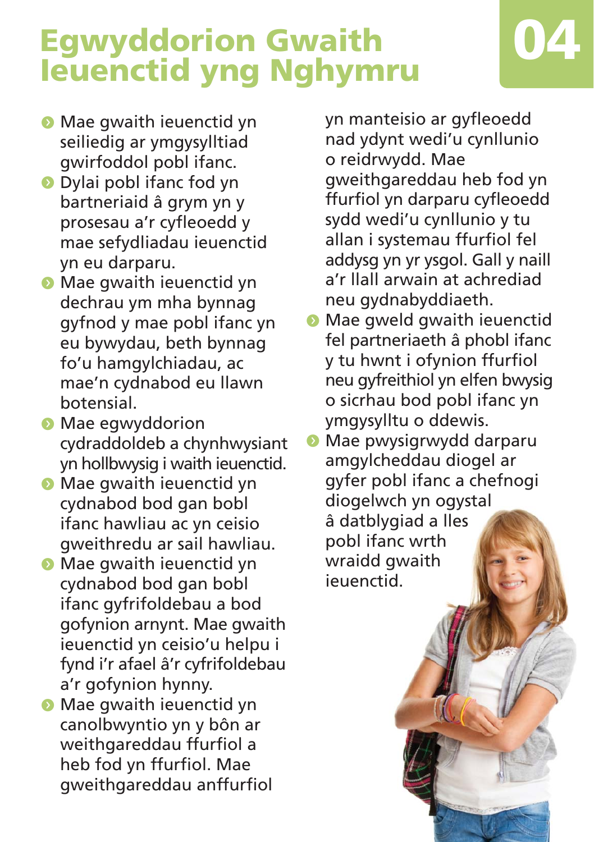# **Egwyddorion Gwaith International Property Component Component Component Component Component Component Component Component Component Component Component Component Component Component Component Component Component Component Component Componen**

- **Mae gwaith ieuenctid yn** seiliedig ar ymgysylltiad gwirfoddol pobl ifanc.
- **O** Dylai pobl ifanc fod yn bartneriaid â grym yn y prosesau a'r cyfleoedd y mae sefydliadau ieuenctid yn eu darparu.
- **Mae gwaith ieuenctid yn** dechrau ym mha bynnag gyfnod y mae pobl ifanc yn eu bywydau, beth bynnag fo'u hamgylchiadau, ac mae'n cydnabod eu llawn botensial.
- **•** Mae egwyddorion cydraddoldeb a chynhwysiant yn hollbwysig i waith ieuenctid.
- **Mae gwaith ieuenctid yn** cydnabod bod gan bobl ifanc hawliau ac yn ceisio gweithredu ar sail hawliau.
- **•** Mae gwaith ieuenctid yn cydnabod bod gan bobl ifanc gyfrifoldebau a bod gofynion arnynt. Mae gwaith ieuenctid yn ceisio'u helpu i fynd i'r afael â'r cyfrifoldebau a'r gofynion hynny.
- **•** Mae gwaith ieuenctid yn canolbwyntio yn y bôn ar weithgareddau ffurfiol a heb fod yn ffurfiol. Mae gweithgareddau anffurfiol

yn manteisio ar gyfleoedd nad ydynt wedi'u cynllunio o reidrwydd. Mae gweithgareddau heb fod yn ffurfiol yn darparu cyfleoedd sydd wedi'u cynllunio y tu allan i systemau ffurfiol fel addysg yn yr ysgol. Gall y naill a'r llall arwain at achrediad neu gydnabyddiaeth.

- $\bullet$  Mae gweld gwaith ieuenctid fel partneriaeth â phobl ifanc y tu hwnt i ofynion ffurfiol neu gyfreithiol yn elfen bwysig o sicrhau bod pobl ifanc yn ymgysylltu o ddewis.
- Mae pwysigrwydd darparu amgylcheddau diogel ar gyfer pobl ifanc a chefnogi diogelwch yn ogystal â datblygiad a lles pobl ifanc wrth wraidd gwaith ieuenctid.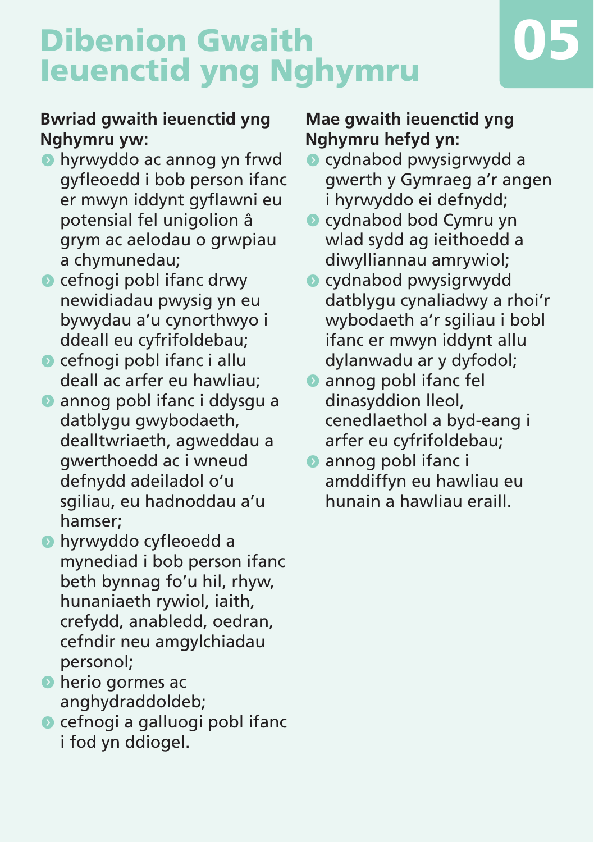# **Dibenion Gwaith Ieuenctid yng Nghymru 05**



- **•** hyrwyddo ac annog yn frwd gyfleoedd i bob person ifanc er mwyn iddynt gyflawni eu potensial fel unigolion â grym ac aelodau o grwpiau a chymunedau;
- $\bullet$  cefnogi pobl ifanc drwy newidiadau pwysig yn eu bywydau a'u cynorthwyo i ddeall eu cyfrifoldebau;
- $\bullet$  cefnogi pobl ifanc i allu deall ac arfer eu hawliau;
- **annog pobl ifanc i ddysgu a** datblygu gwybodaeth, dealltwriaeth, agweddau a gwerthoedd ac i wneud defnydd adeiladol o'u sgiliau, eu hadnoddau a'u hamser;
- **•** hyrwyddo cyfleoedd a mynediad i bob person ifanc beth bynnag fo'u hil, rhyw, hunaniaeth rywiol, iaith, crefydd, anabledd, oedran, cefndir neu amgylchiadau personol;
- $\bullet$  herio gormes ac anghydraddoldeb;
- $\bullet$  cefnogi a galluogi pobl ifanc i fod yn ddiogel.

#### **Mae gwaith ieuenctid yng Nghymru hefyd yn:**

- **•** cydnabod pwysigrwydd a gwerth y Gymraeg a'r angen i hyrwyddo ei defnydd;
- cydnabod bod Cymru yn wlad sydd ag ieithoedd a diwylliannau amrywiol;
- $\bullet$  cydnabod pwysigrwydd datblygu cynaliadwy a rhoi'r wybodaeth a'r sgiliau i bobl ifanc er mwyn iddynt allu dylanwadu ar y dyfodol;
- $\bullet$  annog pobl ifanc fel dinasyddion lleol, cenedlaethol a byd-eang i arfer eu cyfrifoldebau;
- **annog poblifanci** amddiffyn eu hawliau eu hunain a hawliau eraill.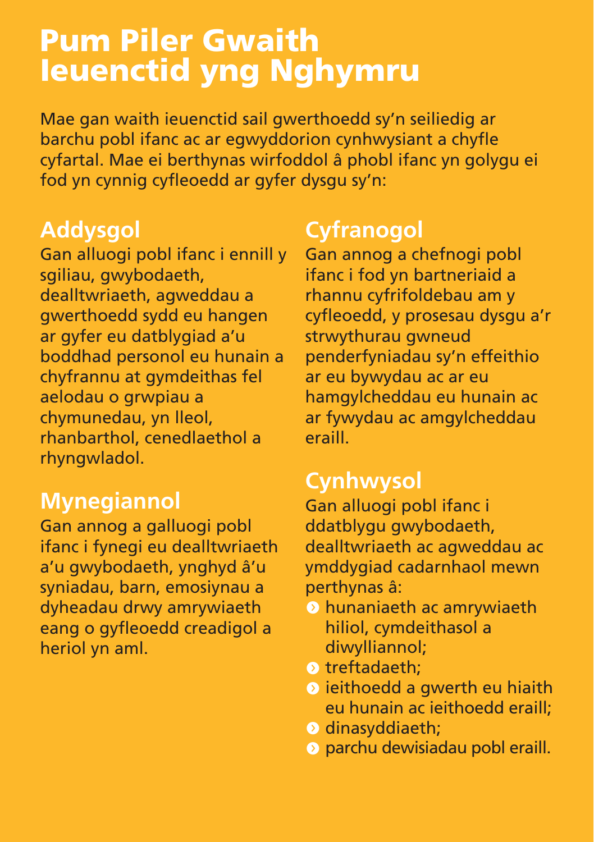### **Pum Piler Gwaith Ieuenctid yng Nghymru**

Mae gan waith ieuenctid sail gwerthoedd sy'n seiliedig ar barchu pobl ifanc ac ar egwyddorion cynhwysiant a chyfle cyfartal. Mae ei berthynas wirfoddol â phobl ifanc yn golygu ei fod yn cynnig cyfleoedd ar gyfer dysgu sy'n:

### **Addysgol**

Gan alluogi pobl ifanc i ennill y sgiliau, gwybodaeth, dealltwriaeth, agweddau a gwerthoedd sydd eu hangen ar gyfer eu datblygiad a'u boddhad personol eu hunain a chyfrannu at gymdeithas fel aelodau o grwpiau a chymunedau, yn lleol, rhanbarthol, cenedlaethol a rhyngwladol.

### **Mynegiannol**

Gan annog a galluogi pobl ifanc i fynegi eu dealltwriaeth a'u gwybodaeth, ynghyd â'u syniadau, barn, emosiynau a dyheadau drwy amrywiaeth eang o gyfleoedd creadigol a heriol yn aml.

### **Cyfranogol**

Gan annog a chefnogi pobl ifanc i fod yn bartneriaid a rhannu cyfrifoldebau am y cyfleoedd, y prosesau dysgu a'r strwythurau gwneud penderfyniadau sy'n effeithio ar eu bywydau ac ar eu hamgylcheddau eu hunain ac ar fywydau ac amgylcheddau eraill.

### **Cynhwysol**

Gan alluogi pobl ifanc i ddatblygu gwybodaeth, dealltwriaeth ac agweddau ac ymddygiad cadarnhaol mewn perthynas â:

- $\odot$  hunaniaeth ac amrywiaeth hiliol, cymdeithasol a diwylliannol;
- $\bullet$  treftadaeth:
- **O** ieithoedd a gwerth eu hiaith eu hunain ac ieithoedd eraill;
- **O** dinasyddiaeth;
- **O** parchu dewisiadau pobl eraill.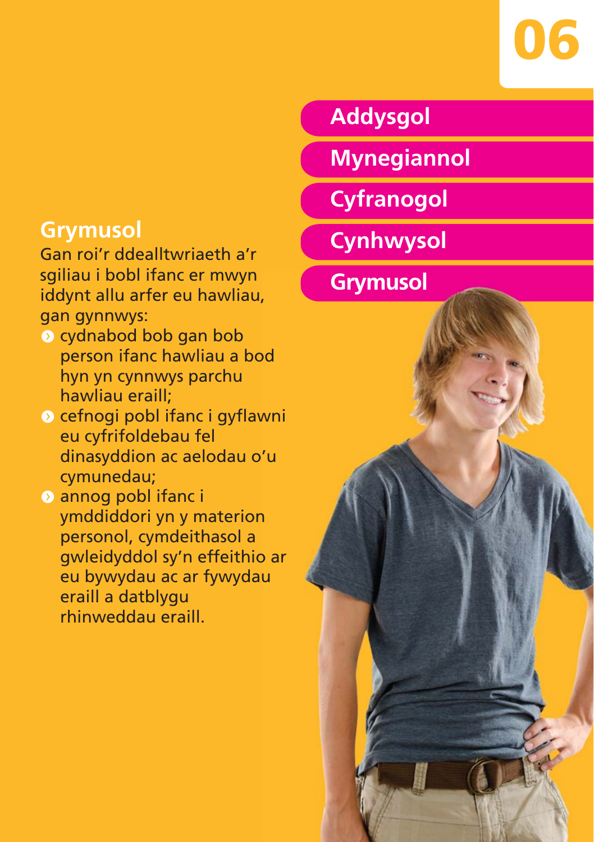

# **Grymusol**

Gan roi'r ddealltwriaeth a'r sgiliau i bobl ifanc er mwyn iddynt allu arfer eu hawliau, gan gynnwys:

- $\bullet$  cydnabod bob gan bob person ifanc hawliau a bod hyn yn cynnwys parchu hawliau eraill;
- $\bullet$  cefnogi pobl ifanc i gyflawni eu cyfrifoldebau fel dinasyddion ac aelodau o'u cymunedau;
- **O** annog pobl ifanc i ymddiddori yn y materion personol, cymdeithasol a gwleidyddol sy'n effeithio ar eu bywydau ac ar fywydau eraill a datblygu rhinweddau eraill.

### **Addysgol**

- **Mynegiannol**
- **Cyfranogol**
- **Cynhwysol**
- **Grymusol**

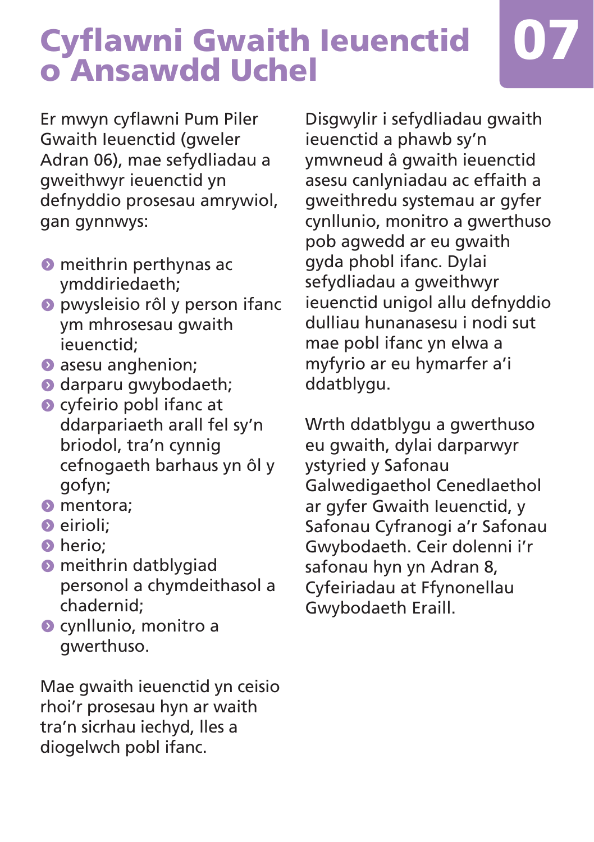# **Cyflawni Gwaith Ieuenctid o Ansawdd Uchel 07**

Er mwyn cyflawni Pum Piler Gwaith Ieuenctid (gweler Adran 06), mae sefydliadau a gweithwyr ieuenctid yn defnyddio prosesau amrywiol, gan gynnwys:

- $\bullet$  meithrin perthynas ac ymddiriedaeth;
- **O** pwysleisio rôl y person ifanc ym mhrosesau gwaith ieuenctid;
- **O** asesu anghenion;
- **O** darparu gwybodaeth;
- $\bullet$  cyfeirio pobl ifanc at ddarpariaeth arall fel sy'n briodol, tra'n cynnig cefnogaeth barhaus yn ôl y gofyn;
- **O** mentora;
- $\bullet$  eirioli:
- $\bullet$  herio;
- $\bullet$  meithrin datblygiad personol a chymdeithasol a chadernid;
- **O** cynllunio, monitro a gwerthuso.

Mae gwaith ieuenctid yn ceisio rhoi'r prosesau hyn ar waith tra'n sicrhau iechyd, lles a diogelwch pobl ifanc.

Disgwylir i sefydliadau gwaith ieuenctid a phawb sy'n ymwneud â gwaith ieuenctid asesu canlyniadau ac effaith a gweithredu systemau ar gyfer cynllunio, monitro a gwerthuso pob agwedd ar eu gwaith gyda phobl ifanc. Dylai sefydliadau a gweithwyr ieuenctid unigol allu defnyddio dulliau hunanasesu i nodi sut mae pobl ifanc yn elwa a myfyrio ar eu hymarfer a'i ddatblygu.

Wrth ddatblygu a gwerthuso eu gwaith, dylai darparwyr ystyried y Safonau Galwedigaethol Cenedlaethol ar gyfer Gwaith Ieuenctid, y Safonau Cyfranogi a'r Safonau Gwybodaeth. Ceir dolenni i'r safonau hyn yn Adran 8, Cyfeiriadau at Ffynonellau Gwybodaeth Eraill.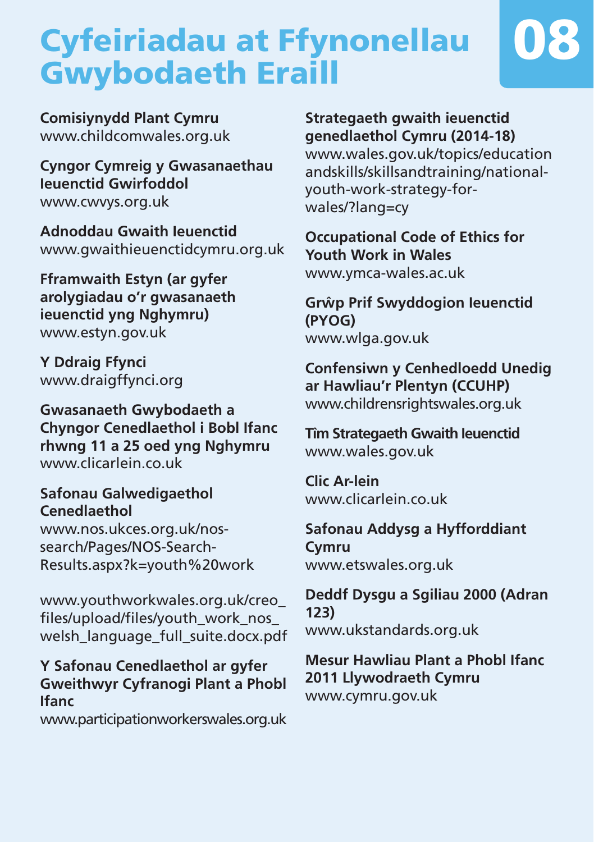# **Cyfeiriadau at Ffynonellau Gwybodaeth Eraill**



**Comisiynydd Plant Cymru** www.childcomwales.org.uk

**Cyngor Cymreig y Gwasanaethau Ieuenctid Gwirfoddol** www.cwvys.org.uk

**Adnoddau Gwaith Ieuenctid** www.gwaithieuenctidcymru.org.uk

**Fframwaith Estyn (ar gyfer arolygiadau o'r gwasanaeth ieuenctid yng Nghymru)** www.estyn.gov.uk

**Y Ddraig Ffynci** www.draigffynci.org

**Gwasanaeth Gwybodaeth a Chyngor Cenedlaethol i Bobl Ifanc rhwng 11 a 25 oed yng Nghymru** www.clicarlein.co.uk

#### **Safonau Galwedigaethol Cenedlaethol**

www.nos.ukces.org.uk/nossearch/Pages/NOS-Search-Results.aspx?k=youth%20work

www.youthworkwales.org.uk/creo\_ files/upload/files/youth\_work\_nos\_ welsh\_language\_full\_suite.docx.pdf

#### **Y Safonau Cenedlaethol ar gyfer Gweithwyr Cyfranogi Plant a Phobl Ifanc**

www.participationworkerswales.org.uk

#### **Strategaeth gwaith ieuenctid genedlaethol Cymru (2014-18)**

www.wales.gov.uk/topics/education andskills/skillsandtraining/nationalyouth-work-strategy-forwales/?lang=cy

**Occupational Code of Ethics for Youth Work in Wales** www.ymca-wales.ac.uk

**Grwˆ p Prif Swyddogion Ieuenctid (PYOG)** www.wlga.gov.uk

**Confensiwn y Cenhedloedd Unedig ar Hawliau'r Plentyn (CCUHP)** www.childrensrightswales.org.uk

**Tîm Strategaeth Gwaith Ieuenctid** www.wales.gov.uk

**Clic Ar-lein** www.clicarlein.co.uk

#### **Safonau Addysg a Hyfforddiant Cymru** www.etswales.org.uk

**Deddf Dysgu a Sgiliau 2000 (Adran 123)** www.ukstandards.org.uk

#### **Mesur Hawliau Plant a Phobl Ifanc 2011 Llywodraeth Cymru**

www.cymru.gov.uk